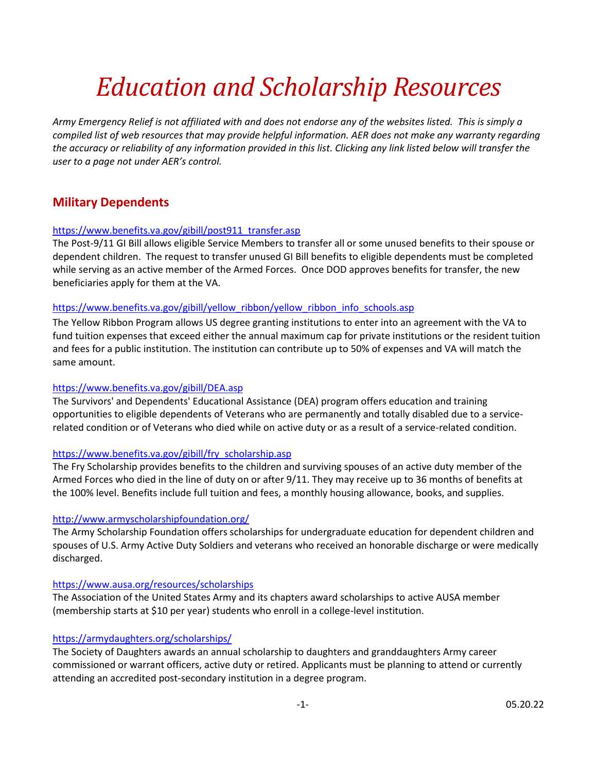# *Education and Scholarship Resources*

*Army Emergency Relief is not affiliated with and does not endorse any of the websites listed. This is simply a compiled list of web resources that may provide helpful information. AER does not make any warranty regarding the accuracy or reliability of any information provided in this list. Clicking any link listed below will transfer the user to a page not under AER's control.* 

# **Military Dependents**

## [https://www.benefits.va.gov/gibill/post911\\_transfer.asp](https://www.benefits.va.gov/gibill/post911_transfer.asp)

The Post-9/11 GI Bill allows eligible Service Members to transfer all or some unused benefits to their spouse or dependent children. The request to transfer unused GI Bill benefits to eligible dependents must be completed while serving as an active member of the Armed Forces. Once DOD approves benefits for transfer, the new beneficiaries apply for them at the VA.

## [https://www.benefits.va.gov/gibill/yellow\\_ribbon/yellow\\_ribbon\\_info\\_schools.asp](https://www.benefits.va.gov/gibill/yellow_ribbon/yellow_ribbon_info_schools.asp)

The Yellow Ribbon Program allows US degree granting institutions to enter into an agreement with the VA to fund tuition expenses that exceed either the annual maximum cap for private institutions or the resident tuition and fees for a public institution. The institution can contribute up to 50% of expenses and VA will match the same amount.

## <https://www.benefits.va.gov/gibill/DEA.asp>

The Survivors' and Dependents' Educational Assistance (DEA) program offers education and training opportunities to eligible dependents of Veterans who are permanently and totally disabled due to a servicerelated condition or of Veterans who died while on active duty or as a result of a service-related condition.

## [https://www.benefits.va.gov/gibill/fry\\_scholarship.asp](https://www.benefits.va.gov/gibill/fry_scholarship.asp)

The Fry Scholarship provides benefits to the children and surviving spouses of an active duty member of the Armed Forces who died in the line of duty on or after 9/11. They may receive up to 36 months of benefits at the 100% level. Benefits include full tuition and fees, a monthly housing allowance, books, and supplies.

## <http://www.armyscholarshipfoundation.org/>

The Army Scholarship Foundation offers scholarships for undergraduate education for dependent children and spouses of U.S. Army Active Duty Soldiers and veterans who received an honorable discharge or were medically discharged.

## <https://www.ausa.org/resources/scholarships>

The Association of the United States Army and its chapters award scholarships to active AUSA member (membership starts at \$10 per year) students who enroll in a college-level institution.

## <https://armydaughters.org/scholarships/>

The Society of Daughters awards an annual scholarship to daughters and granddaughters Army career commissioned or warrant officers, active duty or retired. Applicants must be planning to attend or currently attending an accredited post-secondary institution in a degree program.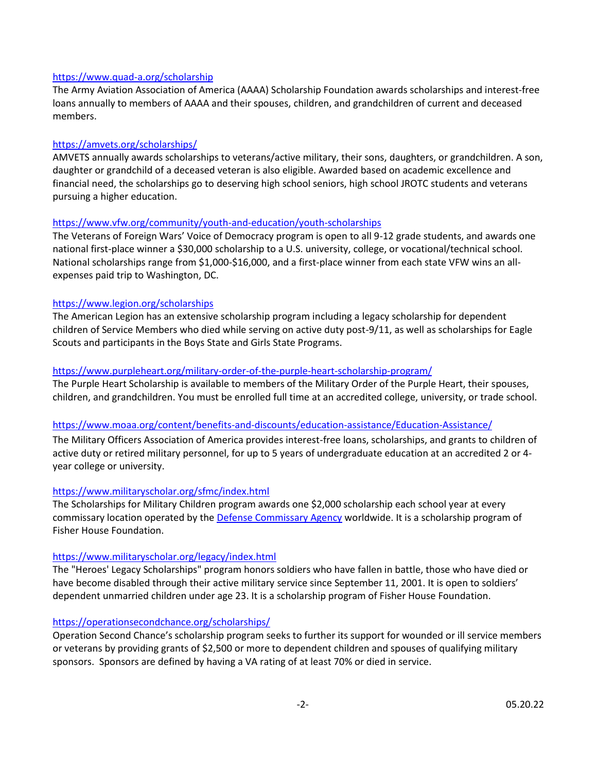#### <https://www.quad-a.org/scholarship>

The Army Aviation Association of America (AAAA) Scholarship Foundation awards scholarships and interest-free loans annually to members of AAAA and their spouses, children, and grandchildren of current and deceased members.

## <https://amvets.org/scholarships/>

AMVETS annually awards scholarships to veterans/active military, their sons, daughters, or grandchildren. A son, daughter or grandchild of a deceased veteran is also eligible. Awarded based on academic excellence and financial need, the scholarships go to deserving high school seniors, high school JROTC students and veterans pursuing a higher education.

## <https://www.vfw.org/community/youth-and-education/youth-scholarships>

The Veterans of Foreign Wars' Voice of Democracy program is open to all 9-12 grade students, and awards one national first-place winner a \$30,000 scholarship to a U.S. university, college, or vocational/technical school. National scholarships range from \$1,000-\$16,000, and a first-place winner from each state VFW wins an allexpenses paid trip to Washington, DC.

## <https://www.legion.org/scholarships>

The American Legion has an extensive scholarship program including a legacy scholarship for dependent children of Service Members who died while serving on active duty post-9/11, as well as scholarships for Eagle Scouts and participants in the Boys State and Girls State Programs.

## <https://www.purpleheart.org/military-order-of-the-purple-heart-scholarship-program/>

The Purple Heart Scholarship is available to members of the Military Order of the Purple Heart, their spouses, children, and grandchildren. You must be enrolled full time at an accredited college, university, or trade school.

## <https://www.moaa.org/content/benefits-and-discounts/education-assistance/Education-Assistance/>

The Military Officers Association of America provides interest-free loans, scholarships, and grants to children of active duty or retired military personnel, for up to 5 years of undergraduate education at an accredited 2 or 4 year college or university.

## <https://www.militaryscholar.org/sfmc/index.html>

The Scholarships for Military Children program awards one \$2,000 scholarship each school year at every commissary location operated by the [Defense Commissary Agency](http://www.commissaries.com/) worldwide. It is a scholarship program of Fisher House Foundation.

## <https://www.militaryscholar.org/legacy/index.html>

The "Heroes' Legacy Scholarships" program honors soldiers who have fallen in battle, those who have died or have become disabled through their active military service since September 11, 2001. It is open to soldiers' dependent unmarried children under age 23. It is a scholarship program of Fisher House Foundation.

## <https://operationsecondchance.org/scholarships/>

Operation Second Chance's scholarship program seeks to further its support for wounded or ill service members or veterans by providing grants of \$2,500 or more to dependent children and spouses of qualifying military sponsors. Sponsors are defined by having a VA rating of at least 70% or died in service.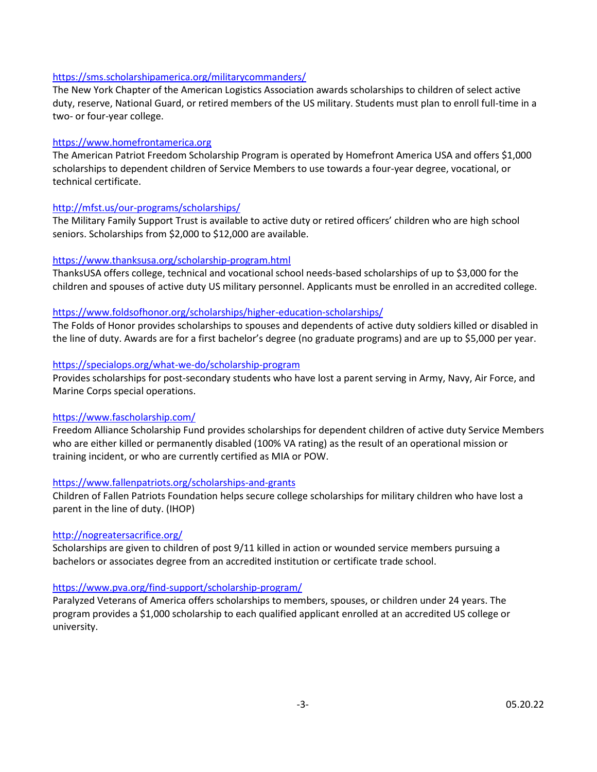#### <https://sms.scholarshipamerica.org/militarycommanders/>

The New York Chapter of the American Logistics Association awards scholarships to children of select active duty, reserve, National Guard, or retired members of the US military. Students must plan to enroll full-time in a two- or four-year college.

#### [https://www.homefrontamerica.org](https://www.homefrontamerica.org/)

The American Patriot Freedom Scholarship Program is operated by Homefront America USA and offers \$1,000 scholarships to dependent children of Service Members to use towards a four-year degree, vocational, or technical certificate.

## <http://mfst.us/our-programs/scholarships/>

The Military Family Support Trust is available to active duty or retired officers' children who are high school seniors. Scholarships from \$2,000 to \$12,000 are available.

#### <https://www.thanksusa.org/scholarship-program.html>

ThanksUSA offers college, technical and vocational school needs-based scholarships of up to \$3,000 for the children and spouses of active duty US military personnel. Applicants must be enrolled in an accredited college.

#### <https://www.foldsofhonor.org/scholarships/higher-education-scholarships/>

The Folds of Honor provides scholarships to spouses and dependents of active duty soldiers killed or disabled in the line of duty. Awards are for a first bachelor's degree (no graduate programs) and are up to \$5,000 per year.

#### <https://specialops.org/what-we-do/scholarship-program>

Provides scholarships for post-secondary students who have lost a parent serving in Army, Navy, Air Force, and Marine Corps special operations.

#### <https://www.fascholarship.com/>

Freedom Alliance Scholarship Fund provides scholarships for dependent children of active duty Service Members who are either killed or permanently disabled (100% VA rating) as the result of an operational mission or training incident, or who are currently certified as MIA or POW.

#### <https://www.fallenpatriots.org/scholarships-and-grants>

Children of Fallen Patriots Foundation helps secure college scholarships for military children who have lost a parent in the line of duty. (IHOP)

#### <http://nogreatersacrifice.org/>

Scholarships are given to children of post 9/11 killed in action or wounded service members pursuing a bachelors or associates degree from an accredited institution or certificate trade school.

#### <https://www.pva.org/find-support/scholarship-program/>

Paralyzed Veterans of America offers scholarships to members, spouses, or children under 24 years. The program provides a \$1,000 scholarship to each qualified applicant enrolled at an accredited US college or university.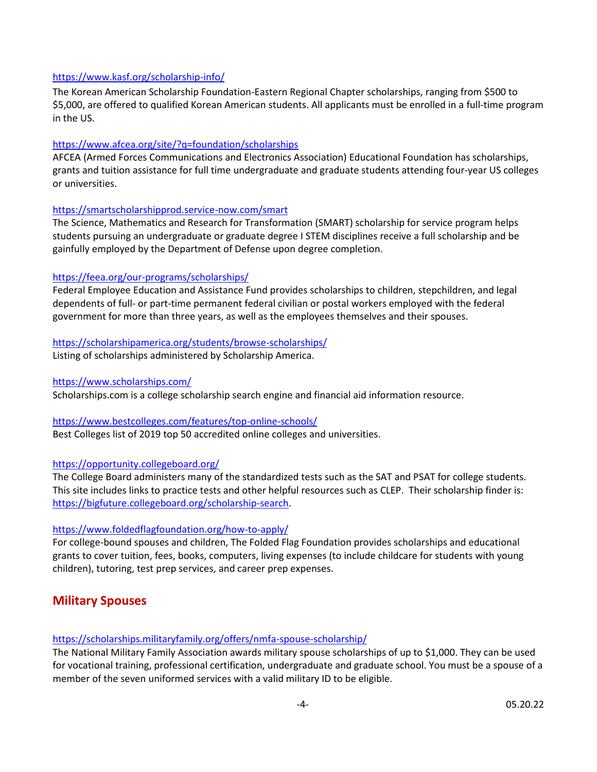## <https://www.kasf.org/scholarship-info/>

The Korean American Scholarship Foundation-Eastern Regional Chapter scholarships, ranging from \$500 to \$5,000, are offered to qualified Korean American students. All applicants must be enrolled in a full-time program in the US.

## <https://www.afcea.org/site/?q=foundation/scholarships>

AFCEA (Armed Forces Communications and Electronics Association) Educational Foundation has scholarships, grants and tuition assistance for full time undergraduate and graduate students attending four-year US colleges or universities.

#### <https://smartscholarshipprod.service-now.com/smart>

The Science, Mathematics and Research for Transformation (SMART) scholarship for service program helps students pursuing an undergraduate or graduate degree I STEM disciplines receive a full scholarship and be gainfully employed by the Department of Defense upon degree completion.

#### <https://feea.org/our-programs/scholarships/>

Federal Employee Education and Assistance Fund provides scholarships to children, stepchildren, and legal dependents of full- or part-time permanent federal civilian or postal workers employed with the federal government for more than three years, as well as the employees themselves and their spouses.

## <https://scholarshipamerica.org/students/browse-scholarships/>

Listing of scholarships administered by Scholarship America.

#### <https://www.scholarships.com/>

Scholarships.com is a college scholarship search engine and financial aid information resource.

## <https://www.bestcolleges.com/features/top-online-schools/>

Best Colleges list of 2019 top 50 accredited online colleges and universities.

## <https://opportunity.collegeboard.org/>

The College Board administers many of the standardized tests such as the SAT and PSAT for college students. This site includes links to practice tests and other helpful resources such as CLEP. Their scholarship finder is: [https://bigfuture.collegeboard.org/scholarship-search.](https://bigfuture.collegeboard.org/scholarship-search)

## <https://www.foldedflagfoundation.org/how-to-apply/>

For college-bound spouses and children, The Folded Flag Foundation provides scholarships and educational grants to cover tuition, fees, books, computers, living expenses (to include childcare for students with young children), tutoring, test prep services, and career prep expenses.

# **Military Spouses**

#### <https://scholarships.militaryfamily.org/offers/nmfa-spouse-scholarship/>

The National Military Family Association awards military spouse scholarships of up to \$1,000. They can be used for vocational training, professional certification, undergraduate and graduate school. You must be a spouse of a member of the seven uniformed services with a valid military ID to be eligible.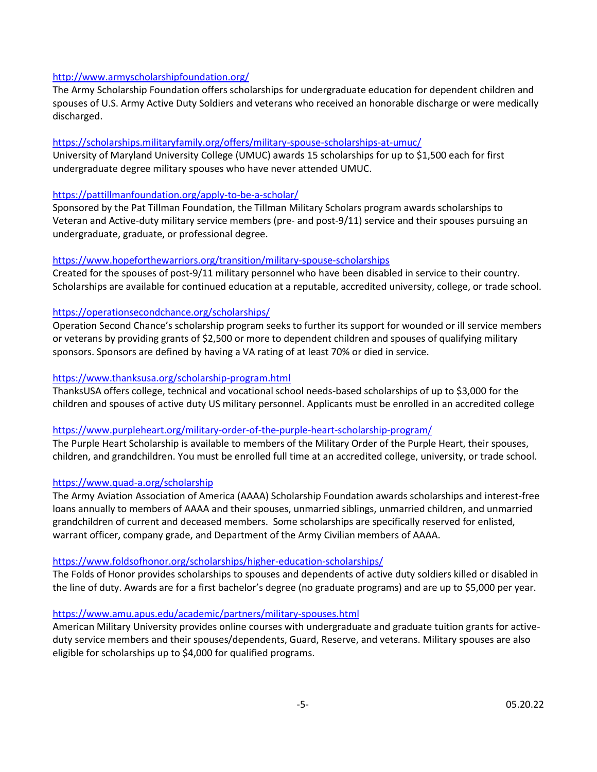## <http://www.armyscholarshipfoundation.org/>

The Army Scholarship Foundation offers scholarships for undergraduate education for dependent children and spouses of U.S. Army Active Duty Soldiers and veterans who received an honorable discharge or were medically discharged.

#### <https://scholarships.militaryfamily.org/offers/military-spouse-scholarships-at-umuc/>

University of Maryland University College (UMUC) awards 15 scholarships for up to \$1,500 each for first undergraduate degree military spouses who have never attended UMUC.

#### <https://pattillmanfoundation.org/apply-to-be-a-scholar/>

Sponsored by the Pat Tillman Foundation, the Tillman Military Scholars program awards scholarships to Veteran and Active-duty military service members (pre- and post-9/11) service and their spouses pursuing an undergraduate, graduate, or professional degree.

#### <https://www.hopeforthewarriors.org/transition/military-spouse-scholarships>

Created for the spouses of post-9/11 military personnel who have been disabled in service to their country. Scholarships are available for continued education at a reputable, accredited university, college, or trade school.

#### <https://operationsecondchance.org/scholarships/>

Operation Second Chance's scholarship program seeks to further its support for wounded or ill service members or veterans by providing grants of \$2,500 or more to dependent children and spouses of qualifying military sponsors. Sponsors are defined by having a VA rating of at least 70% or died in service.

#### <https://www.thanksusa.org/scholarship-program.html>

ThanksUSA offers college, technical and vocational school needs-based scholarships of up to \$3,000 for the children and spouses of active duty US military personnel. Applicants must be enrolled in an accredited college

#### <https://www.purpleheart.org/military-order-of-the-purple-heart-scholarship-program/>

The Purple Heart Scholarship is available to members of the Military Order of the Purple Heart, their spouses, children, and grandchildren. You must be enrolled full time at an accredited college, university, or trade school.

#### <https://www.quad-a.org/scholarship>

The Army Aviation Association of America (AAAA) Scholarship Foundation awards scholarships and interest-free loans annually to members of AAAA and their spouses, unmarried siblings, unmarried children, and unmarried grandchildren of current and deceased members. Some scholarships are specifically reserved for enlisted, warrant officer, company grade, and Department of the Army Civilian members of AAAA.

## <https://www.foldsofhonor.org/scholarships/higher-education-scholarships/>

The Folds of Honor provides scholarships to spouses and dependents of active duty soldiers killed or disabled in the line of duty. Awards are for a first bachelor's degree (no graduate programs) and are up to \$5,000 per year.

#### <https://www.amu.apus.edu/academic/partners/military-spouses.html>

American Military University provides online courses with undergraduate and graduate tuition grants for activeduty service members and their spouses/dependents, Guard, Reserve, and veterans. Military spouses are also eligible for scholarships up to \$4,000 for qualified programs.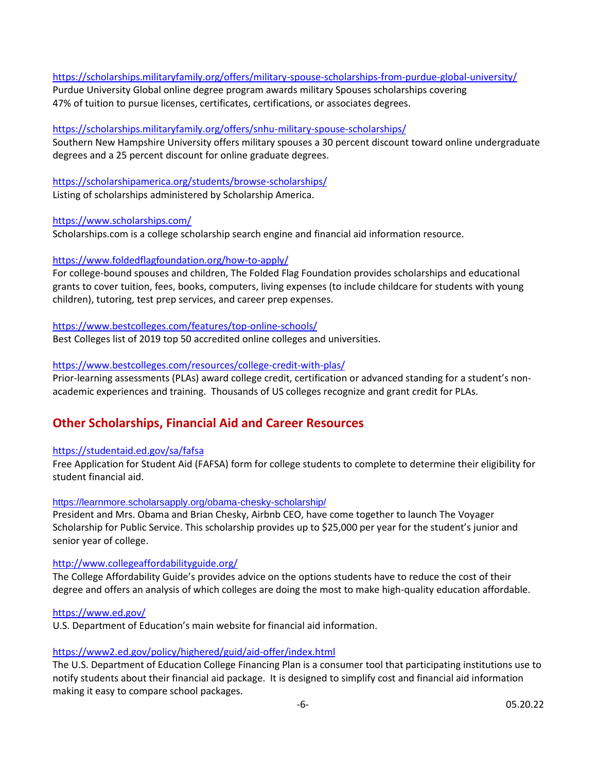## <https://scholarships.militaryfamily.org/offers/military-spouse-scholarships-from-purdue-global-university/>

Purdue University Global online degree program awards military Spouses scholarships covering 47% of tuition to pursue licenses, certificates, certifications, or associates degrees.

## <https://scholarships.militaryfamily.org/offers/snhu-military-spouse-scholarships/>

Southern New Hampshire University offers military spouses a 30 percent discount toward online undergraduate degrees and a 25 percent discount for online graduate degrees.

## <https://scholarshipamerica.org/students/browse-scholarships/>

Listing of scholarships administered by Scholarship America.

## <https://www.scholarships.com/>

Scholarships.com is a college scholarship search engine and financial aid information resource.

## <https://www.foldedflagfoundation.org/how-to-apply/>

For college-bound spouses and children, The Folded Flag Foundation provides scholarships and educational grants to cover tuition, fees, books, computers, living expenses (to include childcare for students with young children), tutoring, test prep services, and career prep expenses.

#### <https://www.bestcolleges.com/features/top-online-schools/>

Best Colleges list of 2019 top 50 accredited online colleges and universities.

## <https://www.bestcolleges.com/resources/college-credit-with-plas/>

Prior-learning assessments (PLAs) award college credit, certification or advanced standing for a student's nonacademic experiences and training. Thousands of US colleges recognize and grant credit for PLAs.

# **Other Scholarships, Financial Aid and Career Resources**

## <https://studentaid.ed.gov/sa/fafsa>

Free Application for Student Aid (FAFSA) form for college students to complete to determine their eligibility for student financial aid.

#### <https://learnmore.scholarsapply.org/obama-chesky-scholarship/>

President and Mrs. Obama and Brian Chesky, Airbnb CEO, have come together to launch The Voyager Scholarship for Public Service. This scholarship provides up to \$25,000 per year for the student's junior and senior year of college.

## <http://www.collegeaffordabilityguide.org/>

The College Affordability Guide's provides advice on the options students have to reduce the cost of their degree and offers an analysis of which colleges are doing the most to make high-quality education affordable.

#### <https://www.ed.gov/>

U.S. Department of Education's main website for financial aid information.

## <https://www2.ed.gov/policy/highered/guid/aid-offer/index.html>

The U.S. Department of Education College Financing Plan is a consumer tool that participating institutions use to notify students about their financial aid package. It is designed to simplify cost and financial aid information making it easy to compare school packages.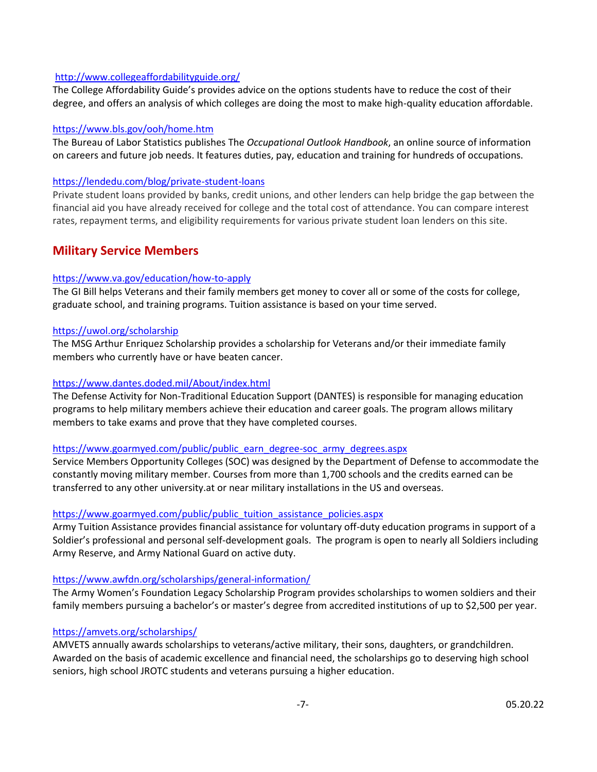## <http://www.collegeaffordabilityguide.org/>

The College Affordability Guide's provides advice on the options students have to reduce the cost of their degree, and offers an analysis of which colleges are doing the most to make high-quality education affordable.

#### <https://www.bls.gov/ooh/home.htm>

The Bureau of Labor Statistics publishes The *Occupational Outlook Handbook*, an online source of information on careers and future job needs. It features duties, pay, education and training for hundreds of occupations.

#### <https://lendedu.com/blog/private-student-loans>

Private student loans provided by banks, credit unions, and other lenders can help bridge the gap between the financial aid you have already received for college and the total cost of attendance. You can compare interest rates, repayment terms, and eligibility requirements for various private student loan lenders on this site.

# **Military Service Members**

## <https://www.va.gov/education/how-to-apply>

The GI Bill helps Veterans and their family members get money to cover all or some of the costs for college, graduate school, and training programs. Tuition assistance is based on your time served.

#### <https://uwol.org/scholarship>

The MSG Arthur Enriquez Scholarship provides a scholarship for Veterans and/or their immediate family members who currently have or have beaten cancer.

## <https://www.dantes.doded.mil/About/index.html>

The Defense Activity for Non-Traditional Education Support (DANTES) is responsible for managing education programs to help military members achieve their education and career goals. The program allows military members to take exams and prove that they have completed courses.

#### [https://www.goarmyed.com/public/public\\_earn\\_degree-soc\\_army\\_degrees.aspx](https://www.goarmyed.com/public/public_earn_degree-soc_army_degrees.aspx)

Service Members Opportunity Colleges (SOC) was designed by the Department of Defense to accommodate the constantly moving military member. Courses from more than 1,700 schools and the credits earned can be transferred to any other university.at or near military installations in the US and overseas.

## [https://www.goarmyed.com/public/public\\_tuition\\_assistance\\_policies.aspx](https://www.goarmyed.com/public/public_tuition_assistance_policies.aspx)

Army Tuition Assistance provides financial assistance for voluntary off-duty education programs in support of a Soldier's professional and personal self-development goals. The program is open to nearly all Soldiers including Army Reserve, and Army National Guard on active duty.

#### <https://www.awfdn.org/scholarships/general-information/>

The Army Women's Foundation Legacy Scholarship Program provides scholarships to women soldiers and their family members pursuing a bachelor's or master's degree from accredited institutions of up to \$2,500 per year.

#### <https://amvets.org/scholarships/>

AMVETS annually awards scholarships to veterans/active military, their sons, daughters, or grandchildren. Awarded on the basis of academic excellence and financial need, the scholarships go to deserving high school seniors, high school JROTC students and veterans pursuing a higher education.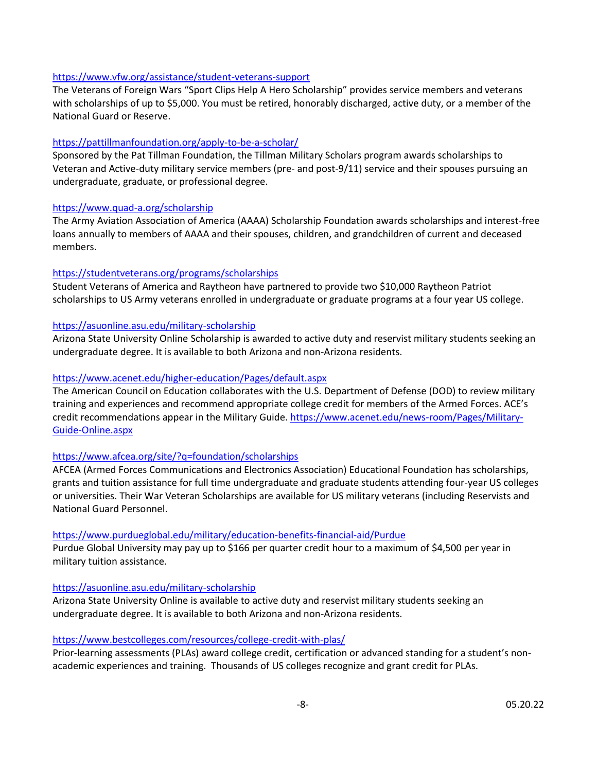#### <https://www.vfw.org/assistance/student-veterans-support>

The Veterans of Foreign Wars "Sport Clips Help A Hero Scholarship" provides service members and veterans with scholarships of up to \$5,000. You must be retired, honorably discharged, active duty, or a member of the National Guard or Reserve.

## <https://pattillmanfoundation.org/apply-to-be-a-scholar/>

Sponsored by the Pat Tillman Foundation, the Tillman Military Scholars program awards scholarships to Veteran and Active-duty military service members (pre- and post-9/11) service and their spouses pursuing an undergraduate, graduate, or professional degree.

## <https://www.quad-a.org/scholarship>

The Army Aviation Association of America (AAAA) Scholarship Foundation awards scholarships and interest-free loans annually to members of AAAA and their spouses, children, and grandchildren of current and deceased members.

## <https://studentveterans.org/programs/scholarships>

Student Veterans of America and Raytheon have partnered to provide two \$10,000 Raytheon Patriot scholarships to US Army veterans enrolled in undergraduate or graduate programs at a four year US college.

## <https://asuonline.asu.edu/military-scholarship>

Arizona State University Online Scholarship is awarded to active duty and reservist military students seeking an undergraduate degree. It is available to both Arizona and non-Arizona residents.

## <https://www.acenet.edu/higher-education/Pages/default.aspx>

The American Council on Education collaborates with the U.S. Department of Defense (DOD) to review military training and experiences and recommend appropriate college credit for members of the Armed Forces. ACE's credit recommendations appear in the Military Guide. [https://www.acenet.edu/news-room/Pages/Military-](https://www.acenet.edu/news-room/Pages/Military-Guide-Online.aspx)[Guide-Online.aspx](https://www.acenet.edu/news-room/Pages/Military-Guide-Online.aspx)

## <https://www.afcea.org/site/?q=foundation/scholarships>

AFCEA (Armed Forces Communications and Electronics Association) Educational Foundation has scholarships, grants and tuition assistance for full time undergraduate and graduate students attending four-year US colleges or universities. Their War Veteran Scholarships are available for US military veterans (including Reservists and National Guard Personnel.

## <https://www.purdueglobal.edu/military/education-benefits-financial-aid/Purdue>

Purdue Global University may pay up to \$166 per quarter credit hour to a maximum of \$4,500 per year in military tuition assistance.

## <https://asuonline.asu.edu/military-scholarship>

Arizona State University Online is available to active duty and reservist military students seeking an undergraduate degree. It is available to both Arizona and non-Arizona residents.

## <https://www.bestcolleges.com/resources/college-credit-with-plas/>

Prior-learning assessments (PLAs) award college credit, certification or advanced standing for a student's nonacademic experiences and training. Thousands of US colleges recognize and grant credit for PLAs.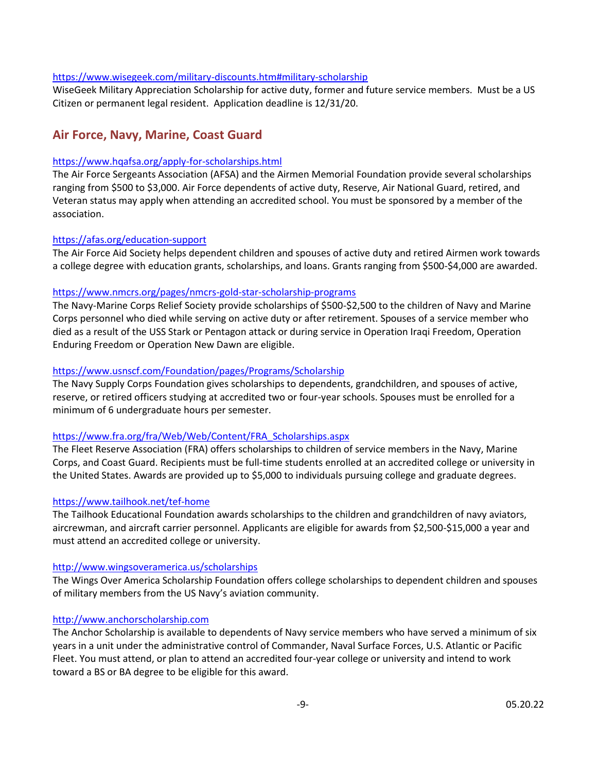#### [https://www.wisegeek.com/military-discounts.htm#military-scholarship](https://protect-us.mimecast.com/s/9XzJBJCQn5MiR?domain=wisegeek.com)

WiseGeek Military Appreciation Scholarship for active duty, former and future service members. Must be a US Citizen or permanent legal resident. Application deadline is 12/31/20.

# **Air Force, Navy, Marine, Coast Guard**

#### <https://www.hqafsa.org/apply-for-scholarships.html>

The Air Force Sergeants Association (AFSA) and the Airmen Memorial Foundation provide several scholarships ranging from \$500 to \$3,000. Air Force dependents of active duty, Reserve, Air National Guard, retired, and Veteran status may apply when attending an accredited school. You must be sponsored by a member of the association.

#### <https://afas.org/education-support>

The Air Force Aid Society helps dependent children and spouses of active duty and retired Airmen work towards a college degree with education grants, scholarships, and loans. Grants ranging from \$500-\$4,000 are awarded.

#### <https://www.nmcrs.org/pages/nmcrs-gold-star-scholarship-programs>

The Navy-Marine Corps Relief Society provide scholarships of \$500-\$2,500 to the children of Navy and Marine Corps personnel who died while serving on active duty or after retirement. Spouses of a service member who died as a result of the USS Stark or Pentagon attack or during service in Operation Iraqi Freedom, Operation Enduring Freedom or Operation New Dawn are eligible.

## <https://www.usnscf.com/Foundation/pages/Programs/Scholarship>

The Navy Supply Corps Foundation gives scholarships to dependents, grandchildren, and spouses of active, reserve, or retired officers studying at accredited two or four-year schools. Spouses must be enrolled for a minimum of 6 undergraduate hours per semester.

## [https://www.fra.org/fra/Web/Web/Content/FRA\\_Scholarships.aspx](https://www.fra.org/fra/Web/Web/Content/FRA_Scholarships.aspx)

The Fleet Reserve Association (FRA) offers scholarships to children of service members in the Navy, Marine Corps, and Coast Guard. Recipients must be full-time students enrolled at an accredited college or university in the United States. Awards are provided up to \$5,000 to individuals pursuing college and graduate degrees.

## <https://www.tailhook.net/tef-home>

The Tailhook Educational Foundation awards scholarships to the children and grandchildren of navy aviators, aircrewman, and aircraft carrier personnel. Applicants are eligible for awards from \$2,500-\$15,000 a year and must attend an accredited college or university.

#### <http://www.wingsoveramerica.us/scholarships>

The Wings Over America Scholarship Foundation offers college scholarships to dependent children and spouses of military members from the US Navy's aviation community.

#### [http://www.anchorscholarship.com](http://www.anchorscholarship.com/)

The Anchor Scholarship is available to dependents of Navy service members who have served a minimum of six years in a unit under the administrative control of Commander, Naval Surface Forces, U.S. Atlantic or Pacific Fleet. You must attend, or plan to attend an accredited four-year college or university and intend to work toward a BS or BA degree to be eligible for this award.